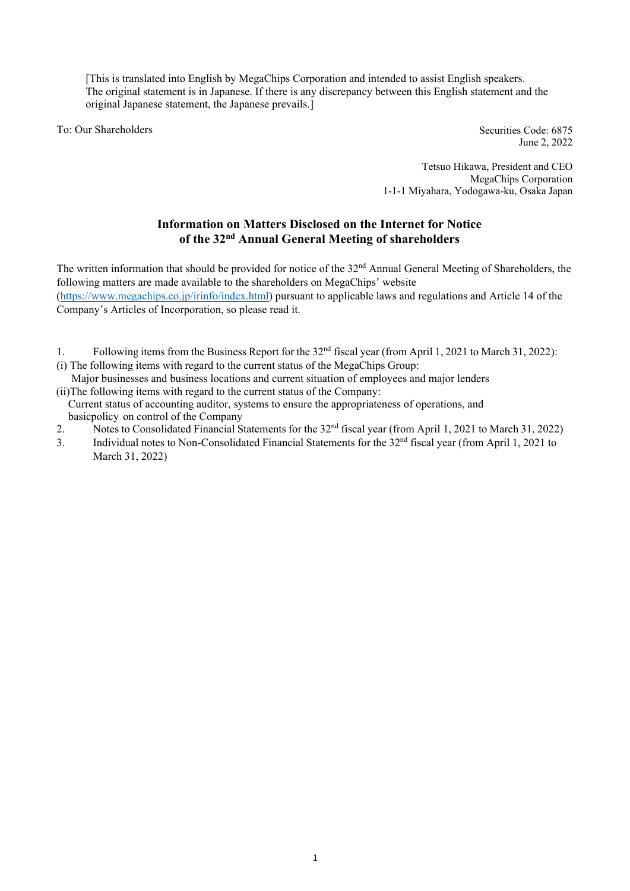[This is translated into English by MegaChips Corporation and intended to assist English speakers. The original statement is in Japanese. If there is any discrepancy between this English statement and the original Japanese statement, the Japanese prevails.]

To: Our Shareholders

Securities Code: 6875 June 2, 2022

Tetsuo Hikawa, President and CEO MegaChips Corporation 1-1-1 Miyahara, Yodogawa-ku, Osaka Japan

# **Information on Matters Disclosed on the Internet for Notice of the 32nd Annual General Meeting of shareholders**

The written information that should be provided for notice of the 32<sup>nd</sup> Annual General Meeting of Shareholders, the following matters are made available to the shareholders on MegaChips' website (https://www.megachips.co.jp/irinfo/index.html) pursuant to applicable laws and regulations and Article 14 of the Company's Articles of Incorporation, so please read it.

- 1. Following items from the Business Report for the 32nd fiscal year (from April 1, 2021 to March 31, 2022):
- (i) The following items with regard to the current status of the MegaChips Group:
- Major businesses and business locations and current situation of employees and major lenders (ii)The following items with regard to the current status of the Company:
- Current status of accounting auditor, systems to ensure the appropriateness of operations, and basicpolicy on control of the Company
- 2. Notes to Consolidated Financial Statements for the 32<sup>nd</sup> fiscal year (from April 1, 2021 to March 31, 2022)
- 3. Individual notes to Non-Consolidated Financial Statements for the 32nd fiscal year (from April 1, 2021 to March 31, 2022)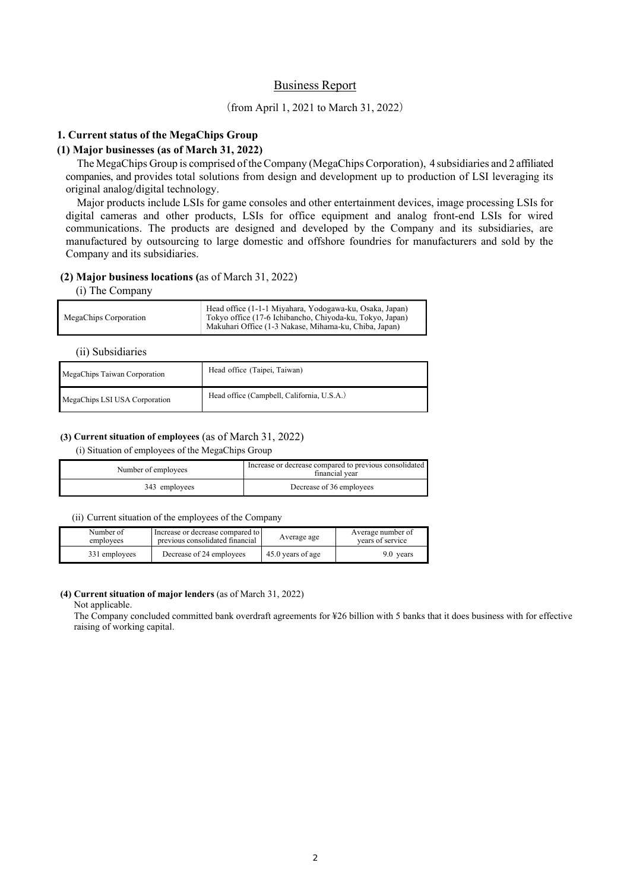# Business Report

# (from April 1, 2021 to March 31, 2022)

# **1. Current status of the MegaChips Group**

# **(1) Major businesses (as of March 31, 2022)**

The MegaChips Group is comprised of the Company (MegaChips Corporation), 4 subsidiaries and 2 affiliated companies, and provides total solutions from design and development up to production of LSI leveraging its original analog/digital technology.

Major products include LSIs for game consoles and other entertainment devices, image processing LSIs for digital cameras and other products, LSIs for office equipment and analog front-end LSIs for wired communications. The products are designed and developed by the Company and its subsidiaries, are manufactured by outsourcing to large domestic and offshore foundries for manufacturers and sold by the Company and its subsidiaries.

## **(2) Major business locations (**as of March 31, 2022)

#### (i) The Company

| MegaChips Corporation | Head office (1-1-1 Miyahara, Yodogawa-ku, Osaka, Japan)<br>Tokyo office (17-6 Ichibancho, Chiyoda-ku, Tokyo, Japan)<br>Makuhari Office (1-3 Nakase, Mihama-ku, Chiba, Japan) |
|-----------------------|------------------------------------------------------------------------------------------------------------------------------------------------------------------------------|
|                       |                                                                                                                                                                              |

(ii) Subsidiaries

| MegaChips Taiwan Corporation  | Head office (Taipei, Taiwan)               |  |  |
|-------------------------------|--------------------------------------------|--|--|
| MegaChips LSI USA Corporation | Head office (Campbell, California, U.S.A.) |  |  |

## **(3) Current situation of employees** (as of March 31, 2022)

(i) Situation of employees of the MegaChips Group

| Number of employees | Increase or decrease compared to previous consolidated<br>financial vear |  |
|---------------------|--------------------------------------------------------------------------|--|
| 343 employees       | Decrease of 36 employees                                                 |  |

(ii) Current situation of the employees of the Company

| Number of     | Increase or decrease compared to |                   | Average number of |  |
|---------------|----------------------------------|-------------------|-------------------|--|
| employees     | previous consolidated financial  |                   | vears of service  |  |
| 331 employees | Decrease of 24 employees         | 45.0 years of age | 9.0 years         |  |

## **(4) Current situation of major lenders** (as of March 31, 2022)

Not applicable.

The Company concluded committed bank overdraft agreements for ¥26 billion with 5 banks that it does business with for effective raising of working capital.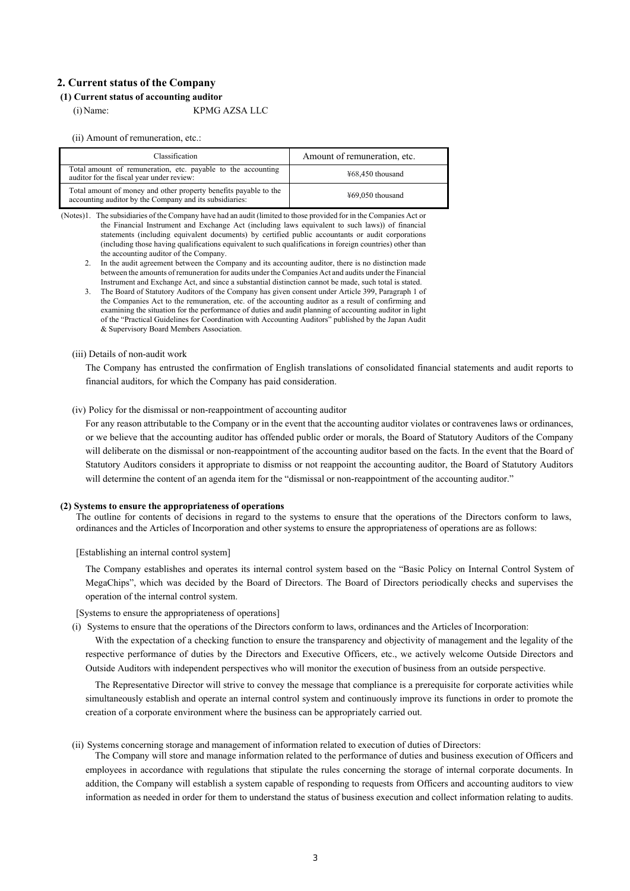## **2. Current status of the Company**

# **(1) Current status of accounting auditor**

(i)Name: KPMG AZSA LLC

(ii) Amount of remuneration, etc.:

| Classification                                                                                                              | Amount of remuneration, etc. |  |
|-----------------------------------------------------------------------------------------------------------------------------|------------------------------|--|
| Total amount of remuneration, etc. payable to the accounting<br>auditor for the fiscal year under review:                   | $\text{\#}68.450$ thousand   |  |
| Total amount of money and other property benefits payable to the<br>accounting auditor by the Company and its subsidiaries: | $\text{\#}69.050$ thousand   |  |

(Notes)1. The subsidiaries of the Company have had an audit (limited to those provided for in the Companies Act or the Financial Instrument and Exchange Act (including laws equivalent to such laws)) of financial statements (including equivalent documents) by certified public accountants or audit corporations (including those having qualifications equivalent to such qualifications in foreign countries) other than the accounting auditor of the Company.

2. In the audit agreement between the Company and its accounting auditor, there is no distinction made between the amounts of remuneration for audits under the Companies Act and audits under the Financial Instrument and Exchange Act, and since a substantial distinction cannot be made, such total is stated.

(iii) Details of non-audit work

The Company has entrusted the confirmation of English translations of consolidated financial statements and audit reports to financial auditors, for which the Company has paid consideration.

### (iv) Policy for the dismissal or non-reappointment of accounting auditor

For any reason attributable to the Company or in the event that the accounting auditor violates or contravenes laws or ordinances, or we believe that the accounting auditor has offended public order or morals, the Board of Statutory Auditors of the Company will deliberate on the dismissal or non-reappointment of the accounting auditor based on the facts. In the event that the Board of Statutory Auditors considers it appropriate to dismiss or not reappoint the accounting auditor, the Board of Statutory Auditors will determine the content of an agenda item for the "dismissal or non-reappointment of the accounting auditor."

#### **(2) Systems to ensure the appropriateness of operations**

The outline for contents of decisions in regard to the systems to ensure that the operations of the Directors conform to laws, ordinances and the Articles of Incorporation and other systems to ensure the appropriateness of operations are as follows:

[Establishing an internal control system]

The Company establishes and operates its internal control system based on the "Basic Policy on Internal Control System of MegaChips", which was decided by the Board of Directors. The Board of Directors periodically checks and supervises the operation of the internal control system.

[Systems to ensure the appropriateness of operations]

(i) Systems to ensure that the operations of the Directors conform to laws, ordinances and the Articles of Incorporation:

With the expectation of a checking function to ensure the transparency and objectivity of management and the legality of the respective performance of duties by the Directors and Executive Officers, etc., we actively welcome Outside Directors and Outside Auditors with independent perspectives who will monitor the execution of business from an outside perspective.

The Representative Director will strive to convey the message that compliance is a prerequisite for corporate activities while simultaneously establish and operate an internal control system and continuously improve its functions in order to promote the creation of a corporate environment where the business can be appropriately carried out.

## (ii) Systems concerning storage and management of information related to execution of duties of Directors:

The Company will store and manage information related to the performance of duties and business execution of Officers and employees in accordance with regulations that stipulate the rules concerning the storage of internal corporate documents. In addition, the Company will establish a system capable of responding to requests from Officers and accounting auditors to view information as needed in order for them to understand the status of business execution and collect information relating to audits.

<sup>3.</sup> The Board of Statutory Auditors of the Company has given consent under Article 399, Paragraph 1 of the Companies Act to the remuneration, etc. of the accounting auditor as a result of confirming and examining the situation for the performance of duties and audit planning of accounting auditor in light of the "Practical Guidelines for Coordination with Accounting Auditors" published by the Japan Audit & Supervisory Board Members Association.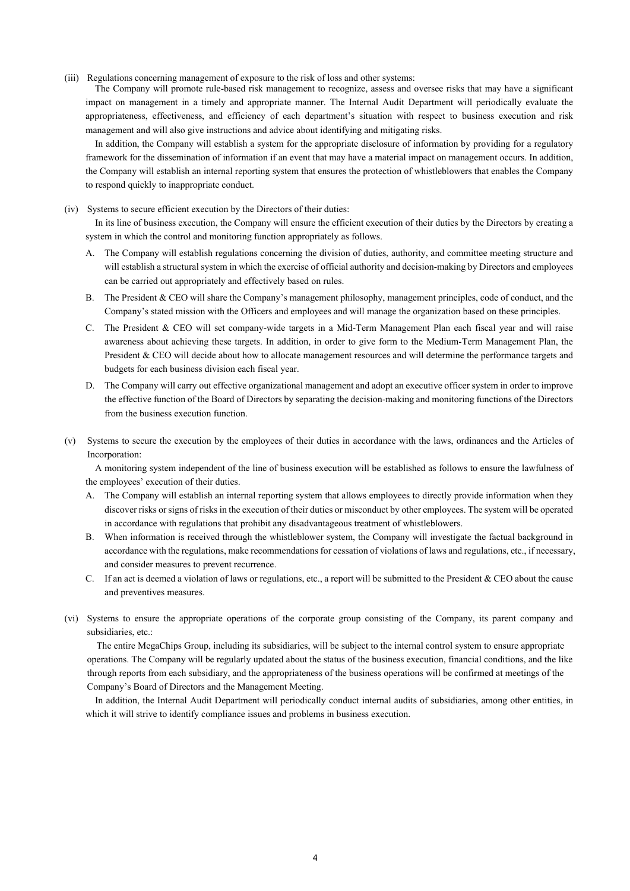(iii) Regulations concerning management of exposure to the risk of loss and other systems:

The Company will promote rule-based risk management to recognize, assess and oversee risks that may have a significant impact on management in a timely and appropriate manner. The Internal Audit Department will periodically evaluate the appropriateness, effectiveness, and efficiency of each department's situation with respect to business execution and risk management and will also give instructions and advice about identifying and mitigating risks.

In addition, the Company will establish a system for the appropriate disclosure of information by providing for a regulatory framework for the dissemination of information if an event that may have a material impact on management occurs. In addition, the Company will establish an internal reporting system that ensures the protection of whistleblowers that enables the Company to respond quickly to inappropriate conduct.

(iv) Systems to secure efficient execution by the Directors of their duties:

In its line of business execution, the Company will ensure the efficient execution of their duties by the Directors by creating a system in which the control and monitoring function appropriately as follows.

- A. The Company will establish regulations concerning the division of duties, authority, and committee meeting structure and will establish a structural system in which the exercise of official authority and decision-making by Directors and employees can be carried out appropriately and effectively based on rules.
- B. The President & CEO will share the Company's management philosophy, management principles, code of conduct, and the Company's stated mission with the Officers and employees and will manage the organization based on these principles.
- C. The President & CEO will set company-wide targets in a Mid-Term Management Plan each fiscal year and will raise awareness about achieving these targets. In addition, in order to give form to the Medium-Term Management Plan, the President & CEO will decide about how to allocate management resources and will determine the performance targets and budgets for each business division each fiscal year.
- D. The Company will carry out effective organizational management and adopt an executive officer system in order to improve the effective function of the Board of Directors by separating the decision-making and monitoring functions of the Directors from the business execution function.
- (v) Systems to secure the execution by the employees of their duties in accordance with the laws, ordinances and the Articles of Incorporation:

A monitoring system independent of the line of business execution will be established as follows to ensure the lawfulness of the employees' execution of their duties.

- A. The Company will establish an internal reporting system that allows employees to directly provide information when they discover risks or signs of risks in the execution of their duties or misconduct by other employees. The system will be operated in accordance with regulations that prohibit any disadvantageous treatment of whistleblowers.
- B. When information is received through the whistleblower system, the Company will investigate the factual background in accordance with the regulations, make recommendations for cessation of violations of laws and regulations, etc., if necessary, and consider measures to prevent recurrence.
- C. If an act is deemed a violation of laws or regulations, etc., a report will be submitted to the President & CEO about the cause and preventives measures.
- (vi) Systems to ensure the appropriate operations of the corporate group consisting of the Company, its parent company and subsidiaries, etc.:

The entire MegaChips Group, including its subsidiaries, will be subject to the internal control system to ensure appropriate operations. The Company will be regularly updated about the status of the business execution, financial conditions, and the like through reports from each subsidiary, and the appropriateness of the business operations will be confirmed at meetings of the Company's Board of Directors and the Management Meeting.

In addition, the Internal Audit Department will periodically conduct internal audits of subsidiaries, among other entities, in which it will strive to identify compliance issues and problems in business execution.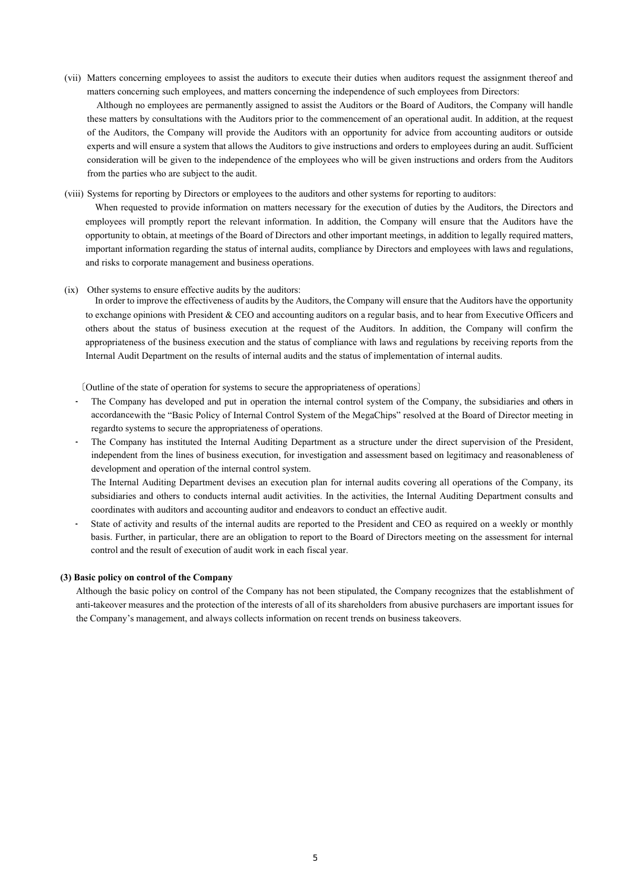(vii) Matters concerning employees to assist the auditors to execute their duties when auditors request the assignment thereof and matters concerning such employees, and matters concerning the independence of such employees from Directors:

Although no employees are permanently assigned to assist the Auditors or the Board of Auditors, the Company will handle these matters by consultations with the Auditors prior to the commencement of an operational audit. In addition, at the request of the Auditors, the Company will provide the Auditors with an opportunity for advice from accounting auditors or outside experts and will ensure a system that allows the Auditors to give instructions and orders to employees during an audit. Sufficient consideration will be given to the independence of the employees who will be given instructions and orders from the Auditors from the parties who are subject to the audit.

(viii) Systems for reporting by Directors or employees to the auditors and other systems for reporting to auditors:

When requested to provide information on matters necessary for the execution of duties by the Auditors, the Directors and employees will promptly report the relevant information. In addition, the Company will ensure that the Auditors have the opportunity to obtain, at meetings of the Board of Directors and other important meetings, in addition to legally required matters, important information regarding the status of internal audits, compliance by Directors and employees with laws and regulations, and risks to corporate management and business operations.

(ix) Other systems to ensure effective audits by the auditors:

In order to improve the effectiveness of audits by the Auditors, the Company will ensure that the Auditors have the opportunity to exchange opinions with President & CEO and accounting auditors on a regular basis, and to hear from Executive Officers and others about the status of business execution at the request of the Auditors. In addition, the Company will confirm the appropriateness of the business execution and the status of compliance with laws and regulations by receiving reports from the Internal Audit Department on the results of internal audits and the status of implementation of internal audits.

〔Outline of the state of operation for systems to secure the appropriateness of operations〕

- The Company has developed and put in operation the internal control system of the Company, the subsidiaries and others in accordance with the "Basic Policy of Internal Control System of the MegaChips" resolved at the Board of Director meeting in regard to systems to secure the appropriateness of operations.
- The Company has instituted the Internal Auditing Department as a structure under the direct supervision of the President, independent from the lines of business execution, for investigation and assessment based on legitimacy and reasonableness of development and operation of the internal control system.

The Internal Auditing Department devises an execution plan for internal audits covering all operations of the Company, its subsidiaries and others to conducts internal audit activities. In the activities, the Internal Auditing Department consults and coordinates with auditors and accounting auditor and endeavors to conduct an effective audit.

• State of activity and results of the internal audits are reported to the President and CEO as required on a weekly or monthly basis. Further, in particular, there are an obligation to report to the Board of Directors meeting on the assessment for internal control and the result of execution of audit work in each fiscal year.

## **(3) Basic policy on control of the Company**

Although the basic policy on control of the Company has not been stipulated, the Company recognizes that the establishment of anti-takeover measures and the protection of the interests of all of its shareholders from abusive purchasers are important issues for the Company's management, and always collects information on recent trends on business takeovers.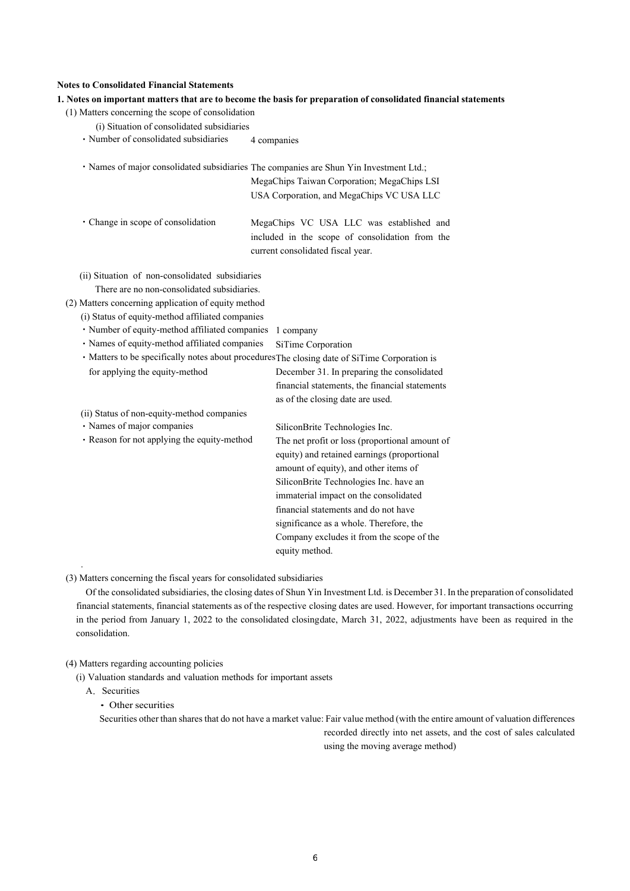## **Notes to Consolidated Financial Statements**

| (1) Matters concerning the scope of consolidation   |                                                                                                                                  |
|-----------------------------------------------------|----------------------------------------------------------------------------------------------------------------------------------|
| (i) Situation of consolidated subsidiaries          |                                                                                                                                  |
| · Number of consolidated subsidiaries               | 4 companies                                                                                                                      |
|                                                     | · Names of major consolidated subsidiaries The companies are Shun Yin Investment Ltd.;                                           |
|                                                     | MegaChips Taiwan Corporation; MegaChips LSI                                                                                      |
|                                                     | USA Corporation, and MegaChips VC USA LLC                                                                                        |
| · Change in scope of consolidation                  | MegaChips VC USA LLC was established and<br>included in the scope of consolidation from the<br>current consolidated fiscal year. |
| (ii) Situation of non-consolidated subsidiaries     |                                                                                                                                  |
| There are no non-consolidated subsidiaries.         |                                                                                                                                  |
| (2) Matters concerning application of equity method |                                                                                                                                  |
| (i) Status of equity-method affiliated companies    |                                                                                                                                  |
| · Number of equity-method affiliated companies      | 1 company                                                                                                                        |
| · Names of equity-method affiliated companies       | SiTime Corporation                                                                                                               |
|                                                     | · Matters to be specifically notes about procedures The closing date of SiTime Corporation is                                    |
| for applying the equity-method                      | December 31. In preparing the consolidated                                                                                       |
|                                                     | financial statements, the financial statements                                                                                   |
|                                                     | as of the closing date are used.                                                                                                 |
| (ii) Status of non-equity-method companies          |                                                                                                                                  |
| · Names of major companies                          | SiliconBrite Technologies Inc.                                                                                                   |
| · Reason for not applying the equity-method         | The net profit or loss (proportional amount of                                                                                   |
|                                                     | equity) and retained earnings (proportional                                                                                      |
|                                                     | amount of equity), and other items of                                                                                            |
|                                                     | SiliconBrite Technologies Inc. have an                                                                                           |
|                                                     | immaterial impact on the consolidated                                                                                            |
|                                                     | financial statements and do not have                                                                                             |
|                                                     | significance as a whole. Therefore, the                                                                                          |
|                                                     | Company excludes it from the scope of the                                                                                        |
|                                                     | equity method.                                                                                                                   |
|                                                     |                                                                                                                                  |

**1. Notes on important matters that are to become the basis for preparation of consolidated financial statements** 

(3) Matters concerning the fiscal years for consolidated subsidiaries

Of the consolidated subsidiaries, the closing dates of Shun Yin Investment Ltd. is December 31. In the preparation of consolidated financial statements, financial statements as of the respective closing dates are used. However, for important transactions occurring in the period from January 1, 2022 to the consolidated closing date, March 31, 2022, adjustments have been as required in the consolidation.

## (4) Matters regarding accounting policies

(i) Valuation standards and valuation methods for important assets

A. Securities

# ・Other securities

Securities other than shares that do not have a market value: Fair value method (with the entire amount of valuation differences recorded directly into net assets, and the cost of sales calculated

using the moving average method)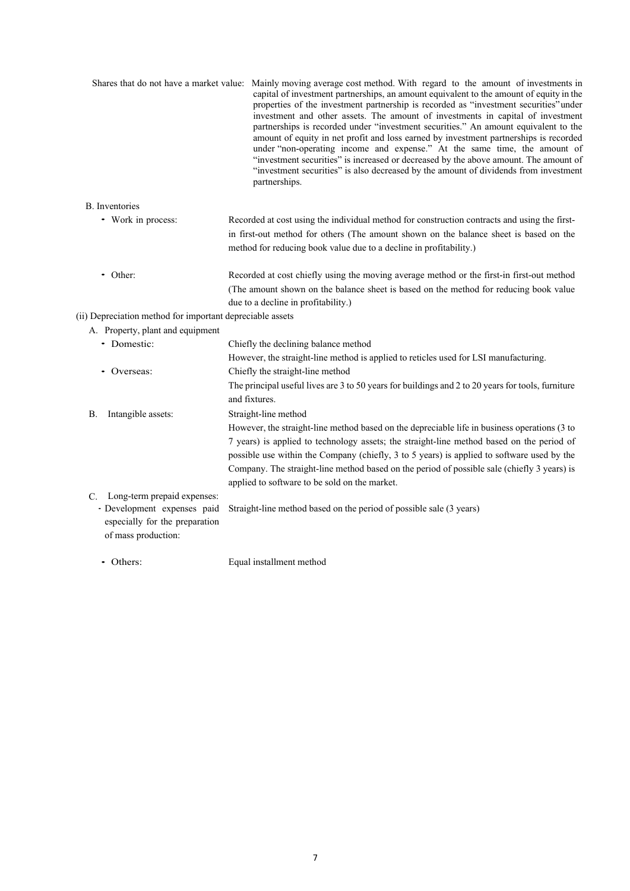|                                                                                      | Shares that do not have a market value: Mainly moving average cost method. With regard to the amount of investments in<br>capital of investment partnerships, an amount equivalent to the amount of equity in the<br>properties of the investment partnership is recorded as "investment securities" under<br>investment and other assets. The amount of investments in capital of investment<br>partnerships is recorded under "investment securities." An amount equivalent to the<br>amount of equity in net profit and loss earned by investment partnerships is recorded<br>under "non-operating income and expense." At the same time, the amount of<br>"investment securities" is increased or decreased by the above amount. The amount of<br>"investment securities" is also decreased by the amount of dividends from investment<br>partnerships. |
|--------------------------------------------------------------------------------------|-------------------------------------------------------------------------------------------------------------------------------------------------------------------------------------------------------------------------------------------------------------------------------------------------------------------------------------------------------------------------------------------------------------------------------------------------------------------------------------------------------------------------------------------------------------------------------------------------------------------------------------------------------------------------------------------------------------------------------------------------------------------------------------------------------------------------------------------------------------|
| <b>B.</b> Inventories                                                                |                                                                                                                                                                                                                                                                                                                                                                                                                                                                                                                                                                                                                                                                                                                                                                                                                                                             |
| • Work in process:                                                                   | Recorded at cost using the individual method for construction contracts and using the first-                                                                                                                                                                                                                                                                                                                                                                                                                                                                                                                                                                                                                                                                                                                                                                |
|                                                                                      | in first-out method for others (The amount shown on the balance sheet is based on the<br>method for reducing book value due to a decline in profitability.)                                                                                                                                                                                                                                                                                                                                                                                                                                                                                                                                                                                                                                                                                                 |
| • Other:                                                                             | Recorded at cost chiefly using the moving average method or the first-in first-out method                                                                                                                                                                                                                                                                                                                                                                                                                                                                                                                                                                                                                                                                                                                                                                   |
|                                                                                      | (The amount shown on the balance sheet is based on the method for reducing book value<br>due to a decline in profitability.)                                                                                                                                                                                                                                                                                                                                                                                                                                                                                                                                                                                                                                                                                                                                |
| (ii) Depreciation method for important depreciable assets                            |                                                                                                                                                                                                                                                                                                                                                                                                                                                                                                                                                                                                                                                                                                                                                                                                                                                             |
| A. Property, plant and equipment                                                     |                                                                                                                                                                                                                                                                                                                                                                                                                                                                                                                                                                                                                                                                                                                                                                                                                                                             |
| • Domestic:                                                                          | Chiefly the declining balance method                                                                                                                                                                                                                                                                                                                                                                                                                                                                                                                                                                                                                                                                                                                                                                                                                        |
|                                                                                      | However, the straight-line method is applied to reticles used for LSI manufacturing.                                                                                                                                                                                                                                                                                                                                                                                                                                                                                                                                                                                                                                                                                                                                                                        |
| • Overseas:                                                                          | Chiefly the straight-line method                                                                                                                                                                                                                                                                                                                                                                                                                                                                                                                                                                                                                                                                                                                                                                                                                            |
|                                                                                      | The principal useful lives are 3 to 50 years for buildings and 2 to 20 years for tools, furniture<br>and fixtures.                                                                                                                                                                                                                                                                                                                                                                                                                                                                                                                                                                                                                                                                                                                                          |
| Intangible assets:<br>В.                                                             | Straight-line method                                                                                                                                                                                                                                                                                                                                                                                                                                                                                                                                                                                                                                                                                                                                                                                                                                        |
|                                                                                      | However, the straight-line method based on the depreciable life in business operations (3 to                                                                                                                                                                                                                                                                                                                                                                                                                                                                                                                                                                                                                                                                                                                                                                |
|                                                                                      | 7 years) is applied to technology assets; the straight-line method based on the period of                                                                                                                                                                                                                                                                                                                                                                                                                                                                                                                                                                                                                                                                                                                                                                   |
|                                                                                      | possible use within the Company (chiefly, 3 to 5 years) is applied to software used by the                                                                                                                                                                                                                                                                                                                                                                                                                                                                                                                                                                                                                                                                                                                                                                  |
|                                                                                      | Company. The straight-line method based on the period of possible sale (chiefly 3 years) is                                                                                                                                                                                                                                                                                                                                                                                                                                                                                                                                                                                                                                                                                                                                                                 |
|                                                                                      | applied to software to be sold on the market.                                                                                                                                                                                                                                                                                                                                                                                                                                                                                                                                                                                                                                                                                                                                                                                                               |
| C. Long-term prepaid expenses:                                                       |                                                                                                                                                                                                                                                                                                                                                                                                                                                                                                                                                                                                                                                                                                                                                                                                                                                             |
| - Development expenses paid<br>especially for the preparation<br>of mass production: | Straight-line method based on the period of possible sale (3 years)                                                                                                                                                                                                                                                                                                                                                                                                                                                                                                                                                                                                                                                                                                                                                                                         |
|                                                                                      |                                                                                                                                                                                                                                                                                                                                                                                                                                                                                                                                                                                                                                                                                                                                                                                                                                                             |

• Others: Equal installment method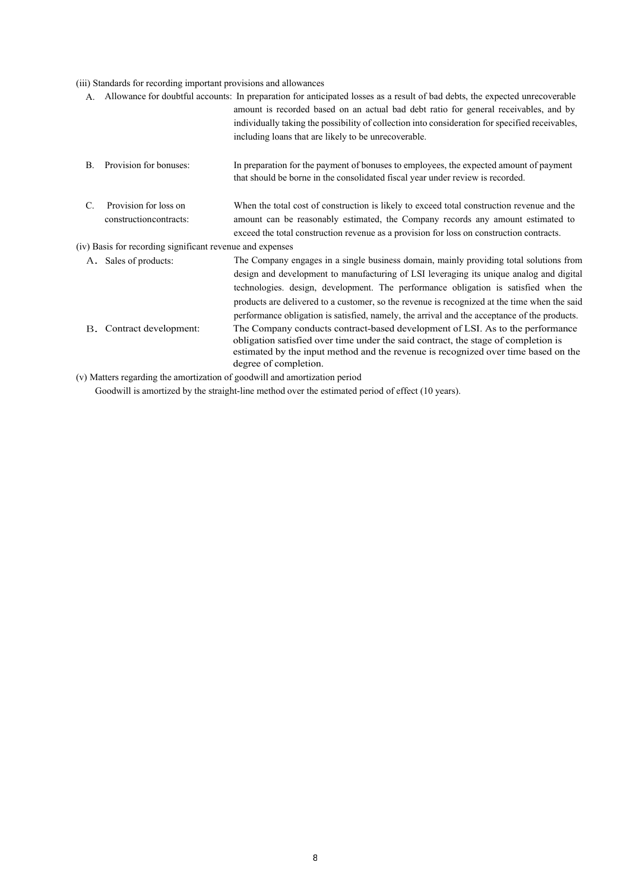# (iii) Standards for recording important provisions and allowances

| А. |                                                           | Allowance for doubtful accounts: In preparation for anticipated losses as a result of bad debts, the expected unrecoverable<br>amount is recorded based on an actual bad debt ratio for general receivables, and by<br>individually taking the possibility of collection into consideration for specified receivables,                                                                                                                                                   |
|----|-----------------------------------------------------------|--------------------------------------------------------------------------------------------------------------------------------------------------------------------------------------------------------------------------------------------------------------------------------------------------------------------------------------------------------------------------------------------------------------------------------------------------------------------------|
|    |                                                           | including loans that are likely to be unrecoverable.                                                                                                                                                                                                                                                                                                                                                                                                                     |
| В. | Provision for bonuses:                                    | In preparation for the payment of bonuses to employees, the expected amount of payment<br>that should be borne in the consolidated fiscal year under review is recorded.                                                                                                                                                                                                                                                                                                 |
| C. | Provision for loss on<br>construction contracts:          | When the total cost of construction is likely to exceed total construction revenue and the<br>amount can be reasonably estimated, the Company records any amount estimated to<br>exceed the total construction revenue as a provision for loss on construction contracts.                                                                                                                                                                                                |
|    | (iv) Basis for recording significant revenue and expenses |                                                                                                                                                                                                                                                                                                                                                                                                                                                                          |
|    | A. Sales of products:                                     | The Company engages in a single business domain, mainly providing total solutions from<br>design and development to manufacturing of LSI leveraging its unique analog and digital<br>technologies. design, development. The performance obligation is satisfied when the<br>products are delivered to a customer, so the revenue is recognized at the time when the said<br>performance obligation is satisfied, namely, the arrival and the acceptance of the products. |
|    | B. Contract development:                                  | The Company conducts contract-based development of LSI. As to the performance<br>obligation satisfied over time under the said contract, the stage of completion is<br>estimated by the input method and the revenue is recognized over time based on the<br>degree of completion.                                                                                                                                                                                       |
|    |                                                           | (v) Matters regarding the amortization of goodwill and amortization period                                                                                                                                                                                                                                                                                                                                                                                               |

Goodwill is amortized by the straight-line method over the estimated period of effect (10 years).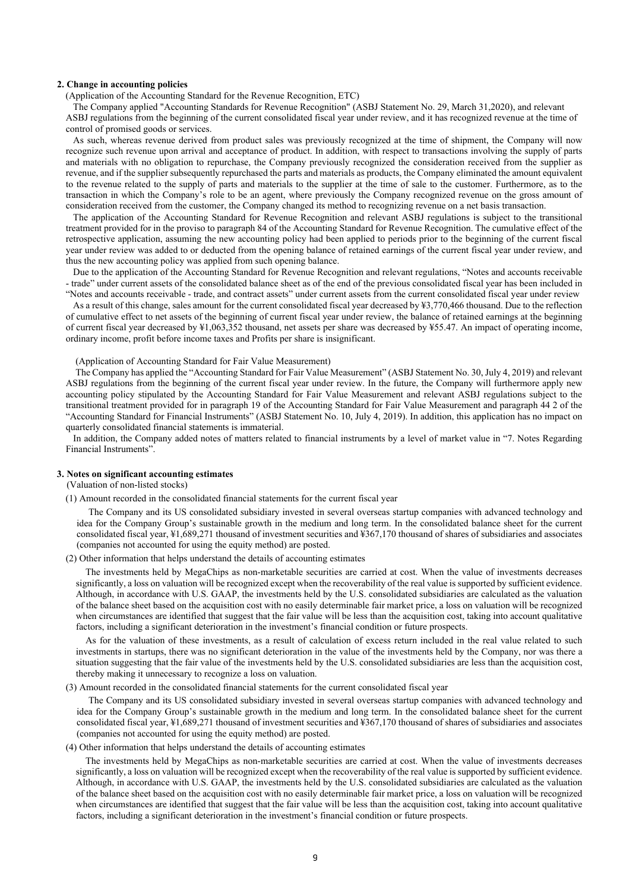#### **2. Change in accounting policies**

(Application of the Accounting Standard for the Revenue Recognition, ETC)

The Company applied "Accounting Standards for Revenue Recognition" (ASBJ Statement No. 29, March 31,2020), and relevant ASBJ regulations from the beginning of the current consolidated fiscal year under review, and it has recognized revenue at the time of control of promised goods or services.

As such, whereas revenue derived from product sales was previously recognized at the time of shipment, the Company will now recognize such revenue upon arrival and acceptance of product. In addition, with respect to transactions involving the supply of parts and materials with no obligation to repurchase, the Company previously recognized the consideration received from the supplier as revenue, and if the supplier subsequently repurchased the parts and materials as products, the Company eliminated the amount equivalent to the revenue related to the supply of parts and materials to the supplier at the time of sale to the customer. Furthermore, as to the transaction in which the Company's role to be an agent, where previously the Company recognized revenue on the gross amount of consideration received from the customer, the Company changed its method to recognizing revenue on a net basis transaction.

The application of the Accounting Standard for Revenue Recognition and relevant ASBJ regulations is subject to the transitional treatment provided for in the proviso to paragraph 84 of the Accounting Standard for Revenue Recognition. The cumulative effect of the retrospective application, assuming the new accounting policy had been applied to periods prior to the beginning of the current fiscal year under review was added to or deducted from the opening balance of retained earnings of the current fiscal year under review, and thus the new accounting policy was applied from such opening balance.

Due to the application of the Accounting Standard for Revenue Recognition and relevant regulations, "Notes and accounts receivable - trade" under current assets of the consolidated balance sheet as of the end of the previous consolidated fiscal year has been included in "Notes and accounts receivable - trade, and contract assets" under current assets from the current consolidated fiscal year under review

As a result of this change, sales amount for the current consolidated fiscal year decreased by ¥3,770,466 thousand. Due to the reflection of cumulative effect to net assets of the beginning of current fiscal year under review, the balance of retained earnings at the beginning of current fiscal year decreased by ¥1,063,352 thousand, net assets per share was decreased by ¥55.47. An impact of operating income, ordinary income, profit before income taxes and Profits per share is insignificant.

(Application of Accounting Standard for Fair Value Measurement)

 The Company has applied the "Accounting Standard for Fair Value Measurement" (ASBJ Statement No. 30, July 4, 2019) and relevant ASBJ regulations from the beginning of the current fiscal year under review. In the future, the Company will furthermore apply new accounting policy stipulated by the Accounting Standard for Fair Value Measurement and relevant ASBJ regulations subject to the transitional treatment provided for in paragraph 19 of the Accounting Standard for Fair Value Measurement and paragraph 44 2 of the "Accounting Standard for Financial Instruments" (ASBJ Statement No. 10, July 4, 2019). In addition, this application has no impact on quarterly consolidated financial statements is immaterial.

In addition, the Company added notes of matters related to financial instruments by a level of market value in "7. Notes Regarding Financial Instruments".

#### **3. Notes on significant accounting estimates**

(Valuation of non-listed stocks)

(1) Amount recorded in the consolidated financial statements for the current fiscal year

The Company and its US consolidated subsidiary invested in several overseas startup companies with advanced technology and idea for the Company Group's sustainable growth in the medium and long term. In the consolidated balance sheet for the current consolidated fiscal year, ¥1,689,271 thousand of investment securities and ¥367,170 thousand of shares of subsidiaries and associates (companies not accounted for using the equity method) are posted.

(2) Other information that helps understand the details of accounting estimates

The investments held by MegaChips as non-marketable securities are carried at cost. When the value of investments decreases significantly, a loss on valuation will be recognized except when the recoverability of the real value is supported by sufficient evidence. Although, in accordance with U.S. GAAP, the investments held by the U.S. consolidated subsidiaries are calculated as the valuation of the balance sheet based on the acquisition cost with no easily determinable fair market price, a loss on valuation will be recognized when circumstances are identified that suggest that the fair value will be less than the acquisition cost, taking into account qualitative factors, including a significant deterioration in the investment's financial condition or future prospects.

As for the valuation of these investments, as a result of calculation of excess return included in the real value related to such investments in startups, there was no significant deterioration in the value of the investments held by the Company, nor was there a situation suggesting that the fair value of the investments held by the U.S. consolidated subsidiaries are less than the acquisition cost, thereby making it unnecessary to recognize a loss on valuation.

#### (3) Amount recorded in the consolidated financial statements for the current consolidated fiscal year

The Company and its US consolidated subsidiary invested in several overseas startup companies with advanced technology and idea for the Company Group's sustainable growth in the medium and long term. In the consolidated balance sheet for the current consolidated fiscal year, ¥1,689,271 thousand of investment securities and ¥367,170 thousand of shares of subsidiaries and associates (companies not accounted for using the equity method) are posted.

#### (4) Other information that helps understand the details of accounting estimates

The investments held by MegaChips as non-marketable securities are carried at cost. When the value of investments decreases significantly, a loss on valuation will be recognized except when the recoverability of the real value is supported by sufficient evidence. Although, in accordance with U.S. GAAP, the investments held by the U.S. consolidated subsidiaries are calculated as the valuation of the balance sheet based on the acquisition cost with no easily determinable fair market price, a loss on valuation will be recognized when circumstances are identified that suggest that the fair value will be less than the acquisition cost, taking into account qualitative factors, including a significant deterioration in the investment's financial condition or future prospects.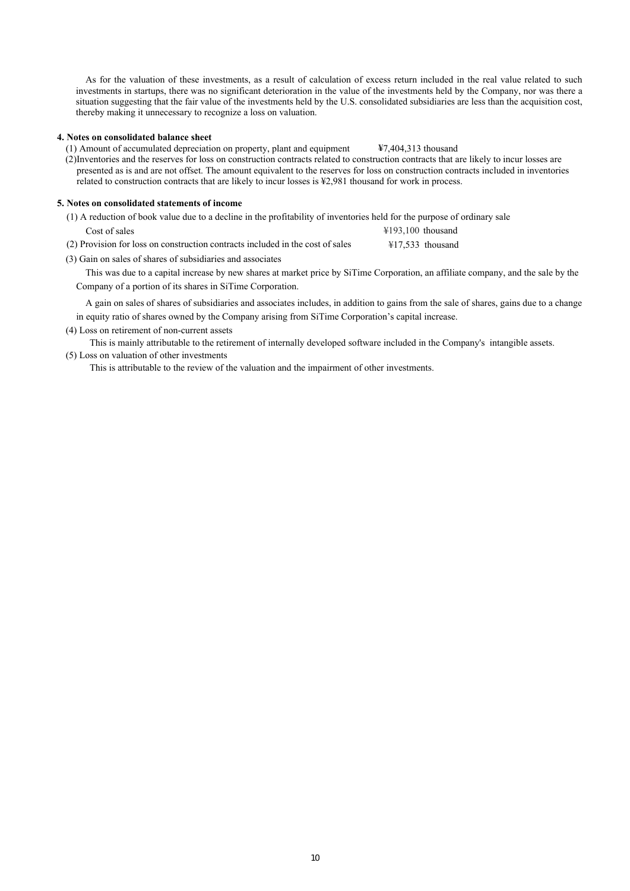As for the valuation of these investments, as a result of calculation of excess return included in the real value related to such investments in startups, there was no significant deterioration in the value of the investments held by the Company, nor was there a situation suggesting that the fair value of the investments held by the U.S. consolidated subsidiaries are less than the acquisition cost, thereby making it unnecessary to recognize a loss on valuation.

### **4. Notes on consolidated balance sheet**

(1) Amount of accumulated depreciation on property, plant and equipment **¥**7,404,313 thousand

(2)Inventories and the reserves for loss on construction contracts related to construction contracts that are likely to incur losses are presented as is and are not offset. The amount equivalent to the reserves for loss on construction contracts included in inventories related to construction contracts that are likely to incur losses is ¥2,981 thousand for work in process.

# **5. Notes on consolidated statements of income**

| (1) A reduction of book value due to a decline in the profitability of inventories held for the purpose of ordinary sale |                             |
|--------------------------------------------------------------------------------------------------------------------------|-----------------------------|
| Cost of sales                                                                                                            | $\text{\#193.100}$ thousand |
| (2) Provision for loss on construction contracts included in the cost of sales                                           | ¥17.533 thousand            |

(3) Gain on sales of shares of subsidiaries and associates

This was due to a capital increase by new shares at market price by SiTime Corporation, an affiliate company, and the sale by the Company of a portion of its shares in SiTime Corporation.

A gain on sales of shares of subsidiaries and associates includes, in addition to gains from the sale of shares, gains due to a change in equity ratio of shares owned by the Company arising from SiTime Corporation's capital increase.

(4) Loss on retirement of non-current assets

This is mainly attributable to the retirement of internally developed software included in the Company's intangible assets.

(5) Loss on valuation of other investments

This is attributable to the review of the valuation and the impairment of other investments.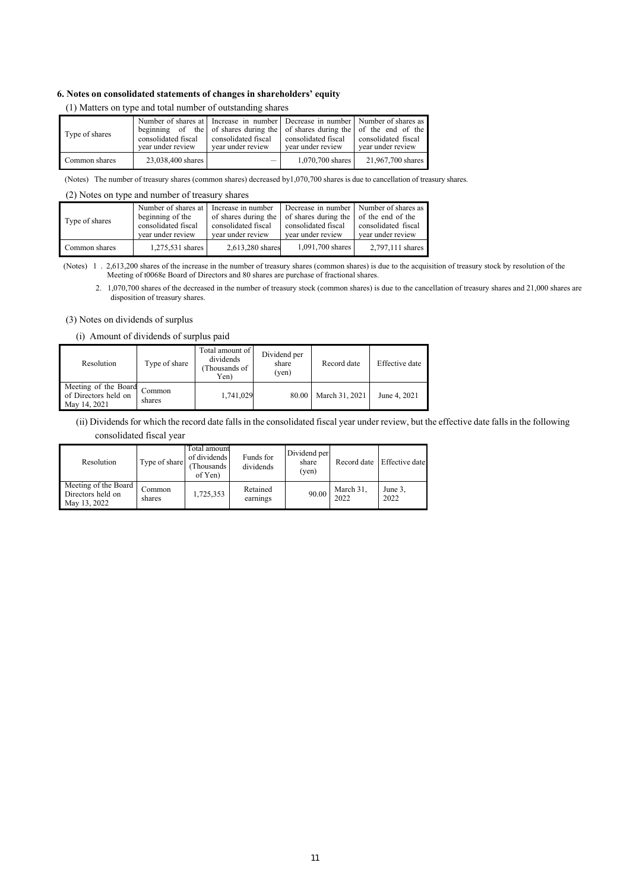## **6. Notes on consolidated statements of changes in shareholders' equity**

| Type of shares | Number of shares at Increase in number Decrease in number Number of shares as<br>beginning of the of shares during the of shares during the of the end of the<br>consolidated fiscal consolidated fiscal<br>vear under review<br>vear under review |      | consolidated fiscal<br>vear under review | consolidated fiscal<br>vear under review |
|----------------|----------------------------------------------------------------------------------------------------------------------------------------------------------------------------------------------------------------------------------------------------|------|------------------------------------------|------------------------------------------|
| Common shares  | 23,038,400 shares                                                                                                                                                                                                                                  | $-1$ | 1,070,700 shares                         | 21,967,700 shares                        |

## (1) Matters on type and total number of outstanding shares

(Notes) The number of treasury shares (common shares) decreased by1,070,700 shares is due to cancellation of treasury shares.

# (2) Notes on type and number of treasury shares

| Type of shares |                     | Number of shares at I Increase in number                        | Decrease in number Number of shares as |                     |
|----------------|---------------------|-----------------------------------------------------------------|----------------------------------------|---------------------|
|                | beginning of the    | of shares during the   of shares during the   of the end of the |                                        |                     |
|                | consolidated fiscal | consolidated fiscal                                             | consolidated fiscal                    | consolidated fiscal |
|                | vear under review   | vear under review                                               | vear under review                      | vear under review   |
| Common shares  | $1,275,531$ shares  | 2,613,280 shares                                                | 1,091,700 shares                       | 2.797.111 shares    |

(Notes) 1 . 2,613,200 shares of the increase in the number of treasury shares (common shares) is due to the acquisition of treasury stock by resolution of the Meeting of t0068e Board of Directors and 80 shares are purchase of fractional shares.

2. 1,070,700 shares of the decreased in the number of treasury stock (common shares) is due to the cancellation of treasury shares and 21,000 shares are disposition of treasury shares.

#### (3) Notes on dividends of surplus

## (i) Amount of dividends of surplus paid

| Resolution                                                   | Type of share    | Total amount of<br>dividends<br>Thousands of<br>Yen) | Dividend per<br>share<br>(yen) | Record date    | Effective date |
|--------------------------------------------------------------|------------------|------------------------------------------------------|--------------------------------|----------------|----------------|
| Meeting of the Board<br>of Directors held on<br>May 14, 2021 | Common<br>shares | 1,741,029                                            | 80.00                          | March 31, 2021 | June 4, 2021   |

(ii) Dividends for which the record date falls in the consolidated fiscal year under review, but the effective date falls in the following consolidated fiscal year

| Resolution                                                | Type of share    | Total amount<br>of dividends<br>(Thousands)<br>of Yen) | Funds for<br>dividends | Dividend per<br>share<br>(ven) | Record date       | <b>Effective</b> date |
|-----------------------------------------------------------|------------------|--------------------------------------------------------|------------------------|--------------------------------|-------------------|-----------------------|
| Meeting of the Board<br>Directors held on<br>May 13, 2022 | Common<br>shares | 1,725,353                                              | Retained<br>earnings   | 90.00                          | March 31,<br>2022 | June 3,<br>2022       |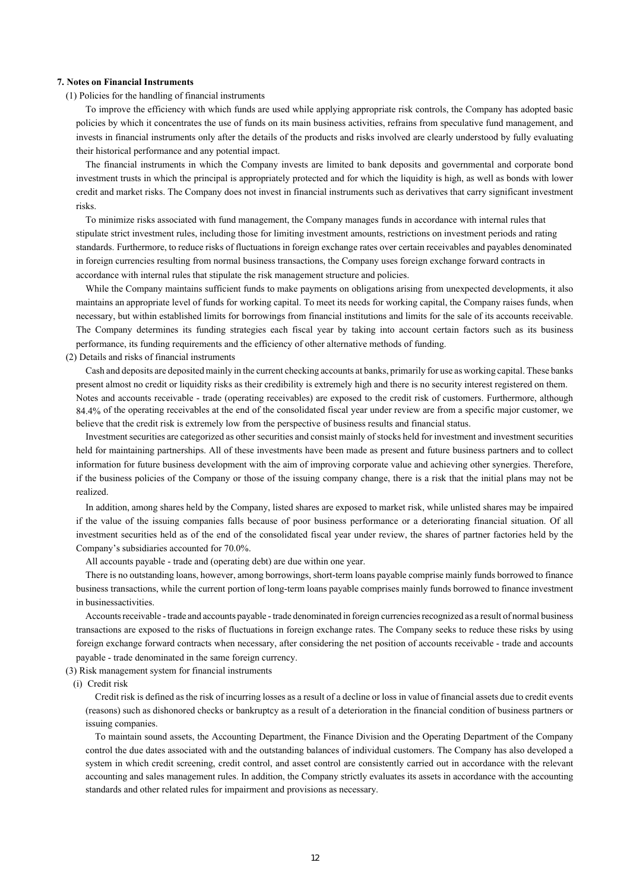#### **7. Notes on Financial Instruments**

(1) Policies for the handling of financial instruments

To improve the efficiency with which funds are used while applying appropriate risk controls, the Company has adopted basic policies by which it concentrates the use of funds on its main business activities, refrains from speculative fund management, and invests in financial instruments only after the details of the products and risks involved are clearly understood by fully evaluating their historical performance and any potential impact.

The financial instruments in which the Company invests are limited to bank deposits and governmental and corporate bond investment trusts in which the principal is appropriately protected and for which the liquidity is high, as well as bonds with lower credit and market risks. The Company does not invest in financial instruments such as derivatives that carry significant investment risks.

To minimize risks associated with fund management, the Company manages funds in accordance with internal rules that stipulate strict investment rules, including those for limiting investment amounts, restrictions on investment periods and rating standards. Furthermore, to reduce risks of fluctuations in foreign exchange rates over certain receivables and payables denominated in foreign currencies resulting from normal business transactions, the Company uses foreign exchange forward contracts in accordance with internal rules that stipulate the risk management structure and policies.

While the Company maintains sufficient funds to make payments on obligations arising from unexpected developments, it also maintains an appropriate level of funds for working capital. To meet its needs for working capital, the Company raises funds, when necessary, but within established limits for borrowings from financial institutions and limits for the sale of its accounts receivable. The Company determines its funding strategies each fiscal year by taking into account certain factors such as its business performance, its funding requirements and the efficiency of other alternative methods of funding.

(2) Details and risks of financial instruments

Cash and deposits are deposited mainly in the current checking accounts at banks, primarily for use as working capital. These banks present almost no credit or liquidity risks as their credibility is extremely high and there is no security interest registered on them. Notes and accounts receivable - trade (operating receivables) are exposed to the credit risk of customers. Furthermore, although 84.4% of the operating receivables at the end of the consolidated fiscal year under review are from a specific major customer, we believe that the credit risk is extremely low from the perspective of business results and financial status.

Investment securities are categorized as other securities and consist mainly of stocks held for investment and investment securities held for maintaining partnerships. All of these investments have been made as present and future business partners and to collect information for future business development with the aim of improving corporate value and achieving other synergies. Therefore, if the business policies of the Company or those of the issuing company change, there is a risk that the initial plans may not be realized.

In addition, among shares held by the Company, listed shares are exposed to market risk, while unlisted shares may be impaired if the value of the issuing companies falls because of poor business performance or a deteriorating financial situation. Of all investment securities held as of the end of the consolidated fiscal year under review, the shares of partner factories held by the Company's subsidiaries accounted for 70.0%.

All accounts payable - trade and (operating debt) are due within one year.

There is no outstanding loans, however, among borrowings, short-term loans payable comprise mainly funds borrowed to finance business transactions, while the current portion of long-term loans payable comprises mainly funds borrowed to finance investment in businessactivities.

Accounts receivable - trade and accounts payable - trade denominated in foreign currencies recognized as a result of normal business transactions are exposed to the risks of fluctuations in foreign exchange rates. The Company seeks to reduce these risks by using foreign exchange forward contracts when necessary, after considering the net position of accounts receivable - trade and accounts payable - trade denominated in the same foreign currency.

(3) Risk management system for financial instruments

(i) Credit risk

Credit risk is defined as the risk of incurring losses as a result of a decline or loss in value of financial assets due to credit events (reasons) such as dishonored checks or bankruptcy as a result of a deterioration in the financial condition of business partners or issuing companies.

To maintain sound assets, the Accounting Department, the Finance Division and the Operating Department of the Company control the due dates associated with and the outstanding balances of individual customers. The Company has also developed a system in which credit screening, credit control, and asset control are consistently carried out in accordance with the relevant accounting and sales management rules. In addition, the Company strictly evaluates its assets in accordance with the accounting standards and other related rules for impairment and provisions as necessary.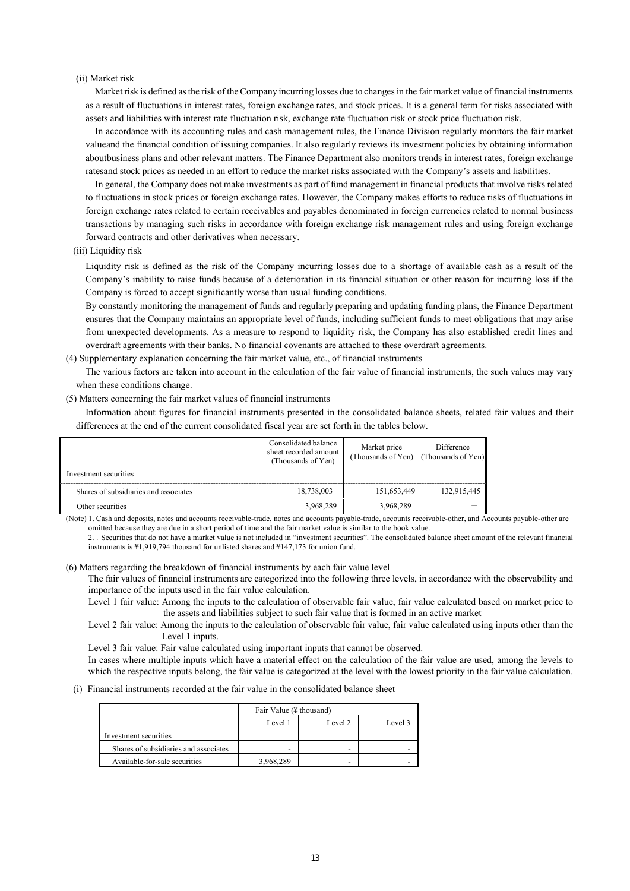## (ii) Market risk

Market risk is defined as the risk of the Company incurring losses due to changes in the fair market value of financial instruments as a result of fluctuations in interest rates, foreign exchange rates, and stock prices. It is a general term for risks associated with assets and liabilities with interest rate fluctuation risk, exchange rate fluctuation risk or stock price fluctuation risk.

In accordance with its accounting rules and cash management rules, the Finance Division regularly monitors the fair market value and the financial condition of issuing companies. It also regularly reviews its investment policies by obtaining information aboutbusiness plans and other relevant matters. The Finance Department also monitors trends in interest rates, foreign exchange rates and stock prices as needed in an effort to reduce the market risks associated with the Company's assets and liabilities.

In general, the Company does not make investments as part of fund management in financial products that involve risks related to fluctuations in stock prices or foreign exchange rates. However, the Company makes efforts to reduce risks of fluctuations in foreign exchange rates related to certain receivables and payables denominated in foreign currencies related to normal business transactions by managing such risks in accordance with foreign exchange risk management rules and using foreign exchange forward contracts and other derivatives when necessary.

#### (iii) Liquidity risk

Liquidity risk is defined as the risk of the Company incurring losses due to a shortage of available cash as a result of the Company's inability to raise funds because of a deterioration in its financial situation or other reason for incurring loss if the Company is forced to accept significantly worse than usual funding conditions.

By constantly monitoring the management of funds and regularly preparing and updating funding plans, the Finance Department ensures that the Company maintains an appropriate level of funds, including sufficient funds to meet obligations that may arise from unexpected developments. As a measure to respond to liquidity risk, the Company has also established credit lines and overdraft agreements with their banks. No financial covenants are attached to these overdraft agreements.

(4) Supplementary explanation concerning the fair market value, etc., of financial instruments

The various factors are taken into account in the calculation of the fair value of financial instruments, the such values may vary when these conditions change.

#### (5) Matters concerning the fair market values of financial instruments

Information about figures for financial instruments presented in the consolidated balance sheets, related fair values and their differences at the end of the current consolidated fiscal year are set forth in the tables below.

|                                       | Consolidated balance<br>sheet recorded amount<br>(Thousands of Yen) | Market price<br>(Thousands of Yen) (Thousands of Yen) | Difference  |
|---------------------------------------|---------------------------------------------------------------------|-------------------------------------------------------|-------------|
| Investment securities                 |                                                                     |                                                       |             |
| Shares of subsidiaries and associates | 18,738,003                                                          | 151.653.449                                           | 132,915,445 |
| Other securities                      | 3,968,289                                                           | 3.968.289                                             |             |

(Note) 1. Cash and deposits, notes and accounts receivable-trade, notes and accounts payable-trade, accounts receivable-other, and Accounts payable-other are omitted because they are due in a short period of time and the fair market value is similar to the book value.

2. . Securities that do not have a market value is not included in "investment securities". The consolidated balance sheet amount of the relevant financial instruments is  $\frac{1}{2}$ ,919,794 thousand for unlisted shares and  $\frac{1}{2}$ 147,173 for union fund.

#### (6) Matters regarding the breakdown of financial instruments by each fair value level

The fair values of financial instruments are categorized into the following three levels, in accordance with the observability and importance of the inputs used in the fair value calculation.

Level 1 fair value: Among the inputs to the calculation of observable fair value, fair value calculated based on market price to the assets and liabilities subject to such fair value that is formed in an active market

Level 2 fair value: Among the inputs to the calculation of observable fair value, fair value calculated using inputs other than the Level 1 inputs.

Level 3 fair value: Fair value calculated using important inputs that cannot be observed.

In cases where multiple inputs which have a material effect on the calculation of the fair value are used, among the levels to which the respective inputs belong, the fair value is categorized at the level with the lowest priority in the fair value calculation.

#### (i) Financial instruments recorded at the fair value in the consolidated balance sheet

|                                       | Fair Value (¥ thousand) |                          |         |  |
|---------------------------------------|-------------------------|--------------------------|---------|--|
|                                       | Level 1                 | Level 2                  | Level 3 |  |
| Investment securities                 |                         |                          |         |  |
| Shares of subsidiaries and associates | -                       | $\overline{\phantom{0}}$ |         |  |
| Available-for-sale securities         | 3.968.289               | $\overline{\phantom{0}}$ |         |  |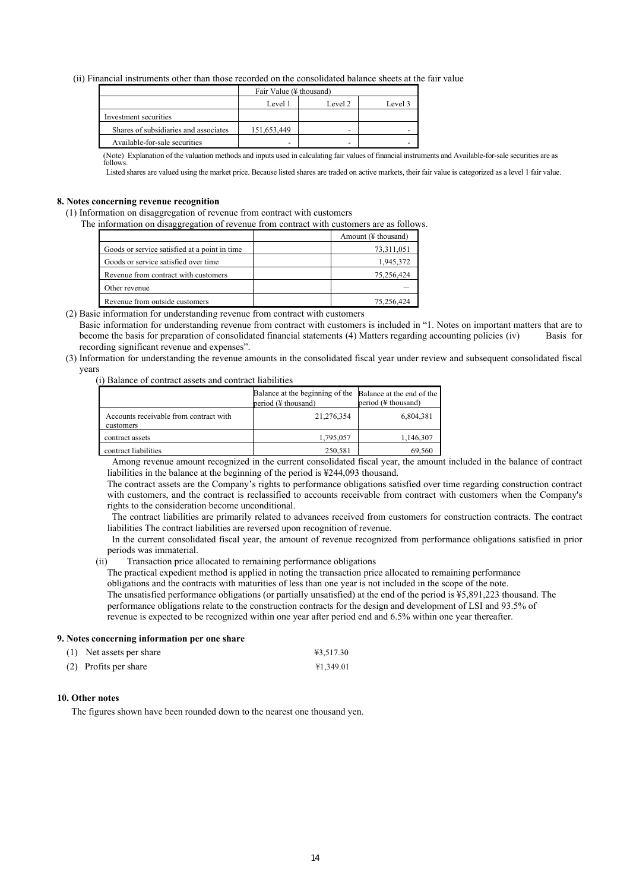(ii) Financial instruments other than those recorded on the consolidated balance sheets at the fair value

|                                       | Fair Value (¥ thousand) |                          |         |  |
|---------------------------------------|-------------------------|--------------------------|---------|--|
|                                       | Level 1                 | Level 2                  | Level 3 |  |
| Investment securities                 |                         |                          |         |  |
| Shares of subsidiaries and associates | 151,653,449             | $\overline{\phantom{0}}$ |         |  |
| Available-for-sale securities         | -                       |                          |         |  |

(Note) Explanation of the valuation methods and inputs used in calculating fair values of financial instruments and Available-for-sale securities are as follows.

Listed shares are valued using the market price. Because listed shares are traded on active markets, their fair value is categorized as a level 1 fair value.

### **8. Notes concerning revenue recognition**

(1) Information on disaggregation of revenue from contract with customers

The information on disaggregation of revenue from contract with customers are as follows.

|                                               | Amount $(\frac{1}{2})$ thousand) |
|-----------------------------------------------|----------------------------------|
| Goods or service satisfied at a point in time | 73,311,051                       |
| Goods or service satisfied over time          | 1,945,372                        |
| Revenue from contract with customers          | 75,256,424                       |
| Other revenue                                 |                                  |
| Revenue from outside customers                | 75,256,424                       |

(2) Basic information for understanding revenue from contract with customers

Basic information for understanding revenue from contract with customers is included in "1. Notes on important matters that are to become the basis for preparation of consolidated financial statements (4) Matters regarding accounting policies (iv) Basis for recording significant revenue and expenses".

(3) Information for understanding the revenue amounts in the consolidated fiscal year under review and subsequent consolidated fiscal years

(i) Balance of contract assets and contract liabilities

|                                                     | Balance at the beginning of the<br>period (¥ thousand) | Balance at the end of the<br>period $(\frac{1}{2})$ thousand) |
|-----------------------------------------------------|--------------------------------------------------------|---------------------------------------------------------------|
| Accounts receivable from contract with<br>customers | 21,276,354                                             | 6,804,381                                                     |
| contract assets                                     | 1,795,057                                              | 1,146,307                                                     |
| contract liabilities                                | 250,581                                                | 69.561                                                        |

Among revenue amount recognized in the current consolidated fiscal year, the amount included in the balance of contract liabilities in the balance at the beginning of the period is ¥244,093 thousand.

The contract assets are the Company's rights to performance obligations satisfied over time regarding construction contract with customers, and the contract is reclassified to accounts receivable from contract with customers when the Company's rights to the consideration become unconditional.

The contract liabilities are primarily related to advances received from customers for construction contracts. The contract liabilities The contract liabilities are reversed upon recognition of revenue.

In the current consolidated fiscal year, the amount of revenue recognized from performance obligations satisfied in prior periods was immaterial.

## (ii) Transaction price allocated to remaining performance obligations

The practical expedient method is applied in noting the transaction price allocated to remaining performance obligations and the contracts with maturities of less than one year is not included in the scope of the note. The unsatisfied performance obligations (or partially unsatisfied) at the end of the period is ¥5,891,223 thousand. The performance obligations relate to the construction contracts for the design and development of LSI and 93.5% of revenue is expected to be recognized within one year after period end and 6.5% within one year thereafter.

#### **9. Notes concerning information per one share**

| (1) Net assets per share | ¥3,517.30 |
|--------------------------|-----------|
| (2) Profits per share    | ¥1,349.01 |

#### **10. Other notes**

The figures shown have been rounded down to the nearest one thousand yen.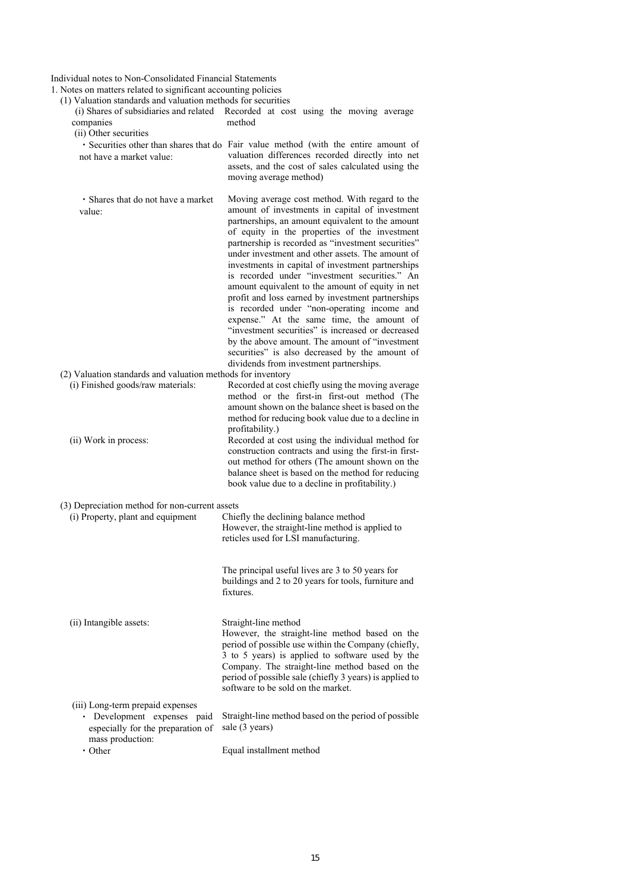Individual notes to Non-Consolidated Financial Statements

1. Notes on matters related to significant accounting policies

(1) Valuation standards and valuation methods for securities

| valuation standards and valuation includes for securities<br>companies<br>(ii) Other securities                          | (i) Shares of subsidiaries and related Recorded at cost using the moving average<br>method                                                                                                                                                                                                                                                                                                                                                                                                                                                                                                                                                                                                                                                                                                                                     |
|--------------------------------------------------------------------------------------------------------------------------|--------------------------------------------------------------------------------------------------------------------------------------------------------------------------------------------------------------------------------------------------------------------------------------------------------------------------------------------------------------------------------------------------------------------------------------------------------------------------------------------------------------------------------------------------------------------------------------------------------------------------------------------------------------------------------------------------------------------------------------------------------------------------------------------------------------------------------|
| not have a market value:                                                                                                 | · Securities other than shares that do Fair value method (with the entire amount of<br>valuation differences recorded directly into net<br>assets, and the cost of sales calculated using the<br>moving average method)                                                                                                                                                                                                                                                                                                                                                                                                                                                                                                                                                                                                        |
| • Shares that do not have a market<br>value:                                                                             | Moving average cost method. With regard to the<br>amount of investments in capital of investment<br>partnerships, an amount equivalent to the amount<br>of equity in the properties of the investment<br>partnership is recorded as "investment securities"<br>under investment and other assets. The amount of<br>investments in capital of investment partnerships<br>is recorded under "investment securities." An<br>amount equivalent to the amount of equity in net<br>profit and loss earned by investment partnerships<br>is recorded under "non-operating income and<br>expense." At the same time, the amount of<br>"investment securities" is increased or decreased<br>by the above amount. The amount of "investment<br>securities" is also decreased by the amount of<br>dividends from investment partnerships. |
| (2) Valuation standards and valuation methods for inventory                                                              |                                                                                                                                                                                                                                                                                                                                                                                                                                                                                                                                                                                                                                                                                                                                                                                                                                |
| (i) Finished goods/raw materials:                                                                                        | Recorded at cost chiefly using the moving average<br>method or the first-in first-out method (The<br>amount shown on the balance sheet is based on the<br>method for reducing book value due to a decline in                                                                                                                                                                                                                                                                                                                                                                                                                                                                                                                                                                                                                   |
| (ii) Work in process:                                                                                                    | profitability.)<br>Recorded at cost using the individual method for<br>construction contracts and using the first-in first-<br>out method for others (The amount shown on the<br>balance sheet is based on the method for reducing<br>book value due to a decline in profitability.)                                                                                                                                                                                                                                                                                                                                                                                                                                                                                                                                           |
| (3) Depreciation method for non-current assets                                                                           |                                                                                                                                                                                                                                                                                                                                                                                                                                                                                                                                                                                                                                                                                                                                                                                                                                |
| (i) Property, plant and equipment                                                                                        | Chiefly the declining balance method<br>However, the straight-line method is applied to<br>reticles used for LSI manufacturing.                                                                                                                                                                                                                                                                                                                                                                                                                                                                                                                                                                                                                                                                                                |
|                                                                                                                          | The principal useful lives are 3 to 50 years for<br>buildings and 2 to 20 years for tools, furniture and<br>fixtures.                                                                                                                                                                                                                                                                                                                                                                                                                                                                                                                                                                                                                                                                                                          |
| (ii) Intangible assets:                                                                                                  | Straight-line method<br>However, the straight-line method based on the<br>period of possible use within the Company (chiefly,<br>3 to 5 years) is applied to software used by the<br>Company. The straight-line method based on the<br>period of possible sale (chiefly 3 years) is applied to<br>software to be sold on the market.                                                                                                                                                                                                                                                                                                                                                                                                                                                                                           |
| (iii) Long-term prepaid expenses<br>· Development expenses paid<br>especially for the preparation of<br>mass production: | Straight-line method based on the period of possible<br>sale (3 years)                                                                                                                                                                                                                                                                                                                                                                                                                                                                                                                                                                                                                                                                                                                                                         |
| $\cdot$ Other                                                                                                            | Equal installment method                                                                                                                                                                                                                                                                                                                                                                                                                                                                                                                                                                                                                                                                                                                                                                                                       |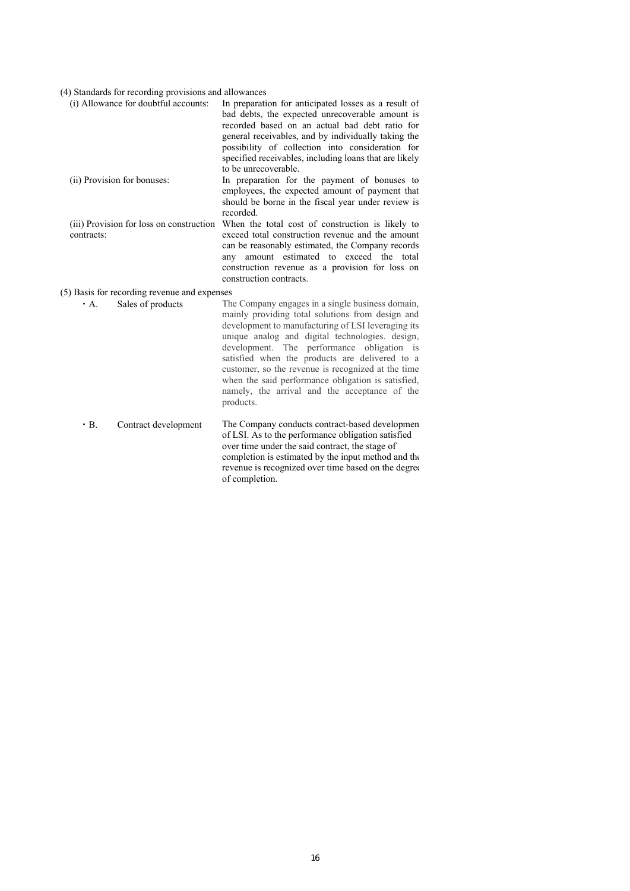# (4) Standards for recording provisions and allowances

| (i) Allowance for doubtful accounts:                   | In preparation for anticipated losses as a result of<br>bad debts, the expected unrecoverable amount is<br>recorded based on an actual bad debt ratio for<br>general receivables, and by individually taking the<br>possibility of collection into consideration for<br>specified receivables, including loans that are likely<br>to be unrecoverable.                                                                                                                                  |
|--------------------------------------------------------|-----------------------------------------------------------------------------------------------------------------------------------------------------------------------------------------------------------------------------------------------------------------------------------------------------------------------------------------------------------------------------------------------------------------------------------------------------------------------------------------|
| (ii) Provision for bonuses:                            | In preparation for the payment of bonuses to<br>employees, the expected amount of payment that<br>should be borne in the fiscal year under review is<br>recorded.                                                                                                                                                                                                                                                                                                                       |
| (iii) Provision for loss on construction<br>contracts: | When the total cost of construction is likely to<br>exceed total construction revenue and the amount<br>can be reasonably estimated, the Company records<br>amount estimated to exceed the total<br>any<br>construction revenue as a provision for loss on<br>construction contracts.                                                                                                                                                                                                   |
| (5) Basis for recording revenue and expenses           |                                                                                                                                                                                                                                                                                                                                                                                                                                                                                         |
| Sales of products<br>$\cdot$ A.                        | The Company engages in a single business domain,<br>mainly providing total solutions from design and<br>development to manufacturing of LSI leveraging its<br>unique analog and digital technologies. design,<br>development. The performance obligation is<br>satisfied when the products are delivered to a<br>customer, so the revenue is recognized at the time<br>when the said performance obligation is satisfied,<br>namely, the arrival and the acceptance of the<br>products. |
|                                                        | the contract of the contract of the contract of the contract of the contract of the contract of the contract of                                                                                                                                                                                                                                                                                                                                                                         |

| $\cdot$ B. | Contract development | The Company conducts contract-based developmen      |
|------------|----------------------|-----------------------------------------------------|
|            |                      | of LSI. As to the performance obligation satisfied  |
|            |                      | over time under the said contract, the stage of     |
|            |                      | completion is estimated by the input method and the |
|            |                      | revenue is recognized over time based on the degree |
|            |                      | of completion.                                      |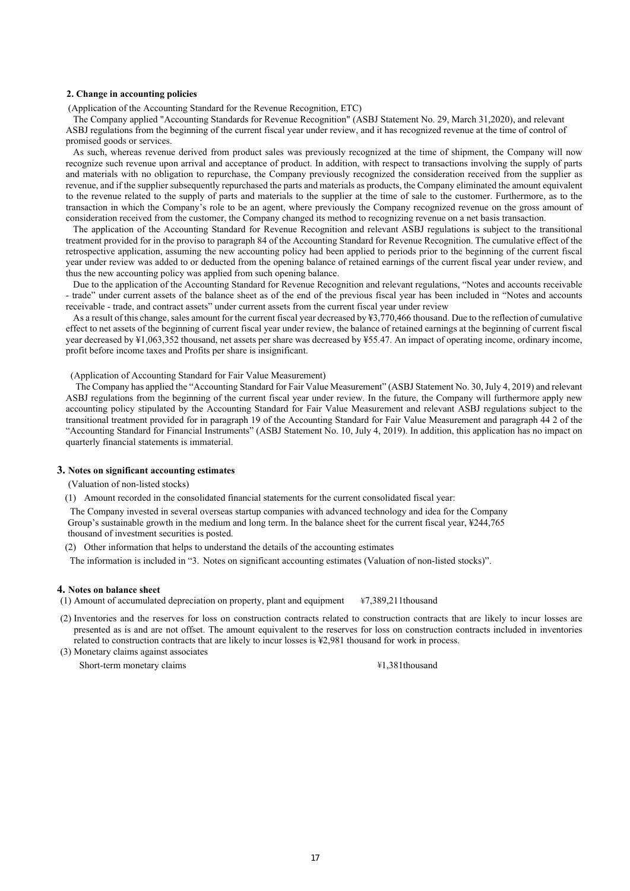#### **2. Change in accounting policies**

(Application of the Accounting Standard for the Revenue Recognition, ETC)

The Company applied "Accounting Standards for Revenue Recognition" (ASBJ Statement No. 29, March 31,2020), and relevant ASBJ regulations from the beginning of the current fiscal year under review, and it has recognized revenue at the time of control of promised goods or services.

As such, whereas revenue derived from product sales was previously recognized at the time of shipment, the Company will now recognize such revenue upon arrival and acceptance of product. In addition, with respect to transactions involving the supply of parts and materials with no obligation to repurchase, the Company previously recognized the consideration received from the supplier as revenue, and if the supplier subsequently repurchased the parts and materials as products, the Company eliminated the amount equivalent to the revenue related to the supply of parts and materials to the supplier at the time of sale to the customer. Furthermore, as to the transaction in which the Company's role to be an agent, where previously the Company recognized revenue on the gross amount of consideration received from the customer, the Company changed its method to recognizing revenue on a net basis transaction.

The application of the Accounting Standard for Revenue Recognition and relevant ASBJ regulations is subject to the transitional treatment provided for in the proviso to paragraph 84 of the Accounting Standard for Revenue Recognition. The cumulative effect of the retrospective application, assuming the new accounting policy had been applied to periods prior to the beginning of the current fiscal year under review was added to or deducted from the opening balance of retained earnings of the current fiscal year under review, and thus the new accounting policy was applied from such opening balance.

Due to the application of the Accounting Standard for Revenue Recognition and relevant regulations, "Notes and accounts receivable - trade" under current assets of the balance sheet as of the end of the previous fiscal year has been included in "Notes and accounts receivable - trade, and contract assets" under current assets from the current fiscal year under review

As a result of this change, sales amount for the current fiscal year decreased by ¥3,770,466 thousand. Due to the reflection of cumulative effect to net assets of the beginning of current fiscal year under review, the balance of retained earnings at the beginning of current fiscal year decreased by ¥1,063,352 thousand, net assets per share was decreased by ¥55.47. An impact of operating income, ordinary income, profit before income taxes and Profits per share is insignificant.

(Application of Accounting Standard for Fair Value Measurement)

 The Company has applied the "Accounting Standard for Fair Value Measurement" (ASBJ Statement No. 30, July 4, 2019) and relevant ASBJ regulations from the beginning of the current fiscal year under review. In the future, the Company will furthermore apply new accounting policy stipulated by the Accounting Standard for Fair Value Measurement and relevant ASBJ regulations subject to the transitional treatment provided for in paragraph 19 of the Accounting Standard for Fair Value Measurement and paragraph 44 2 of the "Accounting Standard for Financial Instruments" (ASBJ Statement No. 10, July 4, 2019). In addition, this application has no impact on quarterly financial statements is immaterial.

#### **3. Notes on significant accounting estimates**

(Valuation of non-listed stocks)

(1) Amount recorded in the consolidated financial statements for the current consolidated fiscal year:

 The Company invested in several overseas startup companies with advanced technology and idea for the Company Group's sustainable growth in the medium and long term. In the balance sheet for the current fiscal year, ¥244,765 thousand of investment securities is posted.

(2) Other information that helps to understand the details of the accounting estimates

The information is included in "3. Notes on significant accounting estimates (Valuation of non-listed stocks)".

#### **4. Notes on balance sheet**

(1) Amount of accumulated depreciation on property, plant and equipment  $\text{\#}7,389,211$  thousand

(2) Inventories and the reserves for loss on construction contracts related to construction contracts that are likely to incur losses are presented as is and are not offset. The amount equivalent to the reserves for loss on construction contracts included in inventories related to construction contracts that are likely to incur losses is ¥2,981 thousand for work in process.

(3) Monetary claims against associates Short-term monetary claims  $\frac{41,381}$  \*1,381thousand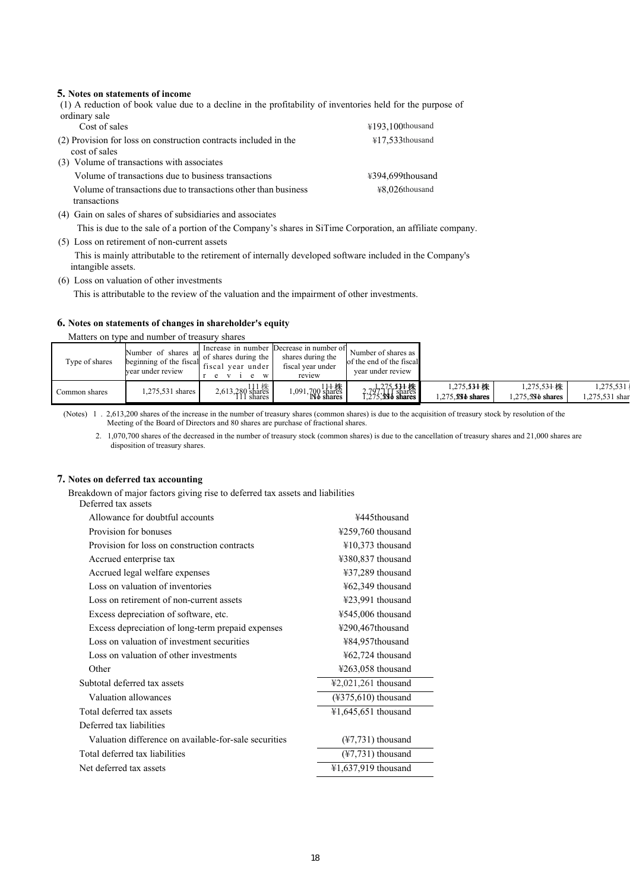## **5. Notes on statements of income**

(1) A reduction of book value due to a decline in the profitability of inventories held for the purpose of ordinary sale Cost of sales  $\frac{4193,100 \text{thousand}}{4193,100 \text{thousand}}$ 

| (2) Provision for loss on construction contracts included in the<br>cost of sales | $\text{\#}17.533$ thousand |
|-----------------------------------------------------------------------------------|----------------------------|
| (3) Volume of transactions with associates                                        |                            |
| Volume of transactions due to business transactions                               | ¥394,699thousand           |
| Volume of transactions due to transactions other than business<br>transactions    | ¥8.026thousand             |

(4) Gain on sales of shares of subsidiaries and associates

This is due to the sale of a portion of the Company's shares in SiTime Corporation, an affiliate company.

(5) Loss on retirement of non-current assets

 This is mainly attributable to the retirement of internally developed software included in the Company's intangible assets.

(6) Loss on valuation of other investments

This is attributable to the review of the valuation and the impairment of other investments.

## **6. Notes on statements of changes in shareholder's equity**

#### Matters on type and number of treasury shares

| Type of shares | Number of shares at<br>beginning of the fiscal<br>vear under review | Increase in number<br>of shares during the<br>vear under<br>fiscal<br>W | Decrease in number of<br>shares during the<br>fiscal vear under<br>review | Number of shares as<br>of the end of the fiscal<br>year under review |                                       |                                   |                            |
|----------------|---------------------------------------------------------------------|-------------------------------------------------------------------------|---------------------------------------------------------------------------|----------------------------------------------------------------------|---------------------------------------|-----------------------------------|----------------------------|
| Common shares  | 1,275,531 shares                                                    | 2,613,280 shares<br>111 shares                                          | 1,091,700 shares<br>No shares                                             | $2,797,117$ shares<br>1,275, SM shares                               | $1,275,33$ + 株<br>$.275.$ $N\$ shares | $1,275,53$ 计株<br>1.275.5Nb shares | 1,275,531<br>.275,531 shar |

(Notes) 1 . 2,613,200 shares of the increase in the number of treasury shares (common shares) is due to the acquisition of treasury stock by resolution of the Meeting of the Board of Directors and 80 shares are purchase of fractional shares.

2. 1,070,700 shares of the decreased in the number of treasury stock (common shares) is due to the cancellation of treasury shares and 21,000 shares are disposition of treasury shares.

# **7. Notes on deferred tax accounting**

Breakdown of major factors giving rise to deferred tax assets and liabilities

| Deferred tax assets            |
|--------------------------------|
| Allowance for doubtful account |

| Allowance for doubtful accounts                       | ¥445thousand                             |
|-------------------------------------------------------|------------------------------------------|
| Provision for bonuses                                 | ¥259,760 thousand                        |
| Provision for loss on construction contracts          | ¥10,373 thousand                         |
| Accrued enterprise tax                                | ¥380,837 thousand                        |
| Accrued legal welfare expenses                        | ¥37,289 thousand                         |
| Loss on valuation of inventories                      | ¥62,349 thousand                         |
| Loss on retirement of non-current assets              | ¥23,991 thousand                         |
| Excess depreciation of software, etc.                 | ¥545,006 thousand                        |
| Excess depreciation of long-term prepaid expenses     | ¥290,467thousand                         |
| Loss on valuation of investment securities            | ¥84,957thousand                          |
| Loss on valuation of other investments                | ¥62,724 thousand                         |
| Other                                                 | $4263,058$ thousand                      |
| Subtotal deferred tax assets                          | $\text{\textsterling}2,021,261$ thousand |
| Valuation allowances                                  | $(*375,610)$ thousand                    |
| Total deferred tax assets                             | $41,645,651$ thousand                    |
| Deferred tax liabilities                              |                                          |
| Valuation difference on available-for-sale securities | $(\frac{1}{2}, 731)$ thousand            |
| Total deferred tax liabilities                        | $(\frac{1}{2}, 731)$ thousand            |
| Net deferred tax assets                               | ¥1,637,919 thousand                      |